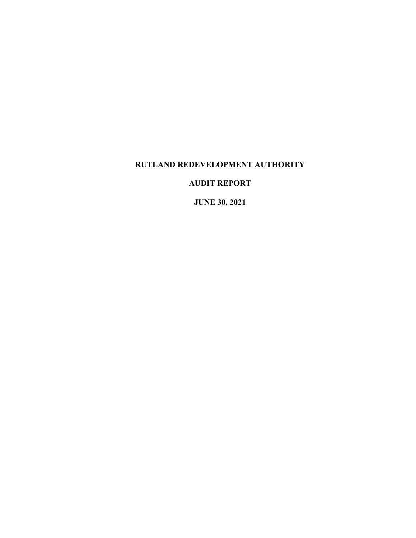# **RUTLAND REDEVELOPMENT AUTHORITY**

# **AUDIT REPORT**

**JUNE 30, 2021**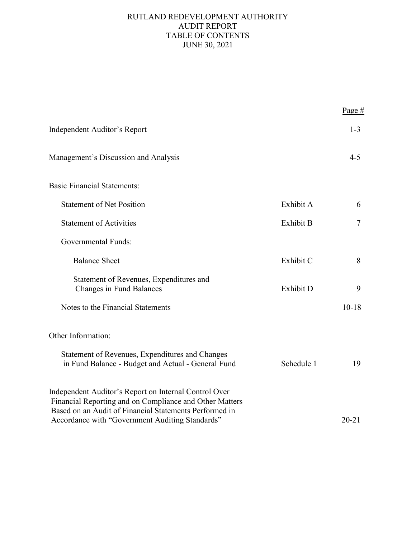# RUTLAND REDEVELOPMENT AUTHORITY AUDIT REPORT TABLE OF CONTENTS JUNE 30, 2021

|                                                                                                                                                                            |            | Page $#$       |
|----------------------------------------------------------------------------------------------------------------------------------------------------------------------------|------------|----------------|
| Independent Auditor's Report                                                                                                                                               |            | $1 - 3$        |
| Management's Discussion and Analysis                                                                                                                                       |            | $4 - 5$        |
| <b>Basic Financial Statements:</b>                                                                                                                                         |            |                |
| <b>Statement of Net Position</b>                                                                                                                                           | Exhibit A  | 6              |
| <b>Statement of Activities</b>                                                                                                                                             | Exhibit B  | $\overline{7}$ |
| <b>Governmental Funds:</b>                                                                                                                                                 |            |                |
| <b>Balance Sheet</b>                                                                                                                                                       | Exhibit C  | 8              |
| Statement of Revenues, Expenditures and<br>Changes in Fund Balances                                                                                                        | Exhibit D  | 9              |
| Notes to the Financial Statements                                                                                                                                          |            | $10-18$        |
| Other Information:                                                                                                                                                         |            |                |
| Statement of Revenues, Expenditures and Changes<br>in Fund Balance - Budget and Actual - General Fund                                                                      | Schedule 1 | 19             |
| Independent Auditor's Report on Internal Control Over<br>Financial Reporting and on Compliance and Other Matters<br>Based on an Audit of Financial Statements Performed in |            |                |
| Accordance with "Government Auditing Standards"                                                                                                                            |            | $20 - 21$      |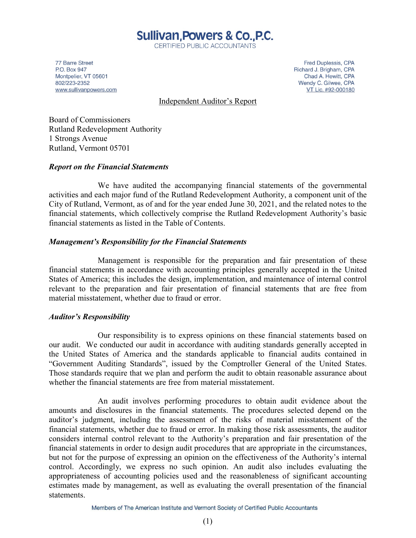

**77 Barre Street** P.O. Box 947 Montpelier, VT 05601 802/223-2352 www.sullivanpowers.com

Fred Duplessis, CPA Richard J. Brigham, CPA Chad A. Hewitt, CPA Wendy C. Gilwee, CPA VT Lic. #92-000180

#### Independent Auditor's Report

Board of Commissioners Rutland Redevelopment Authority 1 Strongs Avenue Rutland, Vermont 05701

#### *Report on the Financial Statements*

We have audited the accompanying financial statements of the governmental activities and each major fund of the Rutland Redevelopment Authority, a component unit of the City of Rutland, Vermont, as of and for the year ended June 30, 2021, and the related notes to the financial statements, which collectively comprise the Rutland Redevelopment Authority's basic financial statements as listed in the Table of Contents.

## *Management's Responsibility for the Financial Statements*

Management is responsible for the preparation and fair presentation of these financial statements in accordance with accounting principles generally accepted in the United States of America; this includes the design, implementation, and maintenance of internal control relevant to the preparation and fair presentation of financial statements that are free from material misstatement, whether due to fraud or error.

## *Auditor's Responsibility*

Our responsibility is to express opinions on these financial statements based on our audit. We conducted our audit in accordance with auditing standards generally accepted in the United States of America and the standards applicable to financial audits contained in "Government Auditing Standards", issued by the Comptroller General of the United States. Those standards require that we plan and perform the audit to obtain reasonable assurance about whether the financial statements are free from material misstatement.

An audit involves performing procedures to obtain audit evidence about the amounts and disclosures in the financial statements. The procedures selected depend on the auditor's judgment, including the assessment of the risks of material misstatement of the financial statements, whether due to fraud or error. In making those risk assessments, the auditor considers internal control relevant to the Authority's preparation and fair presentation of the financial statements in order to design audit procedures that are appropriate in the circumstances, but not for the purpose of expressing an opinion on the effectiveness of the Authority's internal control. Accordingly, we express no such opinion. An audit also includes evaluating the appropriateness of accounting policies used and the reasonableness of significant accounting estimates made by management, as well as evaluating the overall presentation of the financial statements.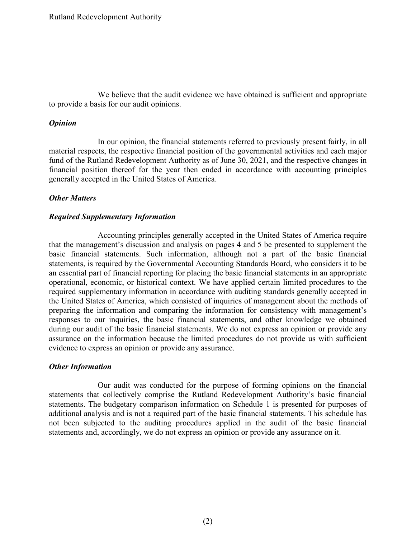Rutland Redevelopment Authority

We believe that the audit evidence we have obtained is sufficient and appropriate to provide a basis for our audit opinions.

#### *Opinion*

In our opinion, the financial statements referred to previously present fairly, in all material respects, the respective financial position of the governmental activities and each major fund of the Rutland Redevelopment Authority as of June 30, 2021, and the respective changes in financial position thereof for the year then ended in accordance with accounting principles generally accepted in the United States of America.

#### *Other Matters*

#### *Required Supplementary Information*

Accounting principles generally accepted in the United States of America require that the management's discussion and analysis on pages 4 and 5 be presented to supplement the basic financial statements. Such information, although not a part of the basic financial statements, is required by the Governmental Accounting Standards Board, who considers it to be an essential part of financial reporting for placing the basic financial statements in an appropriate operational, economic, or historical context. We have applied certain limited procedures to the required supplementary information in accordance with auditing standards generally accepted in the United States of America, which consisted of inquiries of management about the methods of preparing the information and comparing the information for consistency with management's responses to our inquiries, the basic financial statements, and other knowledge we obtained during our audit of the basic financial statements. We do not express an opinion or provide any assurance on the information because the limited procedures do not provide us with sufficient evidence to express an opinion or provide any assurance.

#### *Other Information*

Our audit was conducted for the purpose of forming opinions on the financial statements that collectively comprise the Rutland Redevelopment Authority's basic financial statements. The budgetary comparison information on Schedule 1 is presented for purposes of additional analysis and is not a required part of the basic financial statements. This schedule has not been subjected to the auditing procedures applied in the audit of the basic financial statements and, accordingly, we do not express an opinion or provide any assurance on it.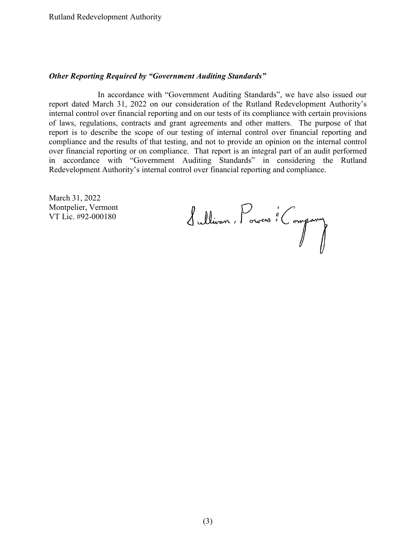Rutland Redevelopment Authority

## *Other Reporting Required by "Government Auditing Standards"*

In accordance with "Government Auditing Standards", we have also issued our report dated March 31, 2022 on our consideration of the Rutland Redevelopment Authority's internal control over financial reporting and on our tests of its compliance with certain provisions of laws, regulations, contracts and grant agreements and other matters. The purpose of that report is to describe the scope of our testing of internal control over financial reporting and compliance and the results of that testing, and not to provide an opinion on the internal control over financial reporting or on compliance. That report is an integral part of an audit performed in accordance with "Government Auditing Standards" in considering the Rutland Redevelopment Authority's internal control over financial reporting and compliance.

March 31, 2022 Montpelier, Vermont VT Lic. #92-000180

Sullivan, Powers : Company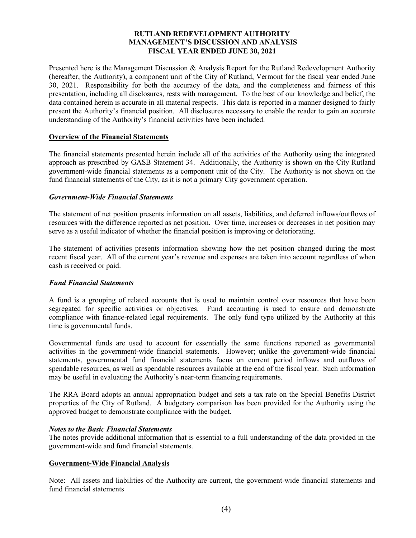#### **RUTLAND REDEVELOPMENT AUTHORITY MANAGEMENT'S DISCUSSION AND ANALYSIS FISCAL YEAR ENDED JUNE 30, 2021**

Presented here is the Management Discussion & Analysis Report for the Rutland Redevelopment Authority (hereafter, the Authority), a component unit of the City of Rutland, Vermont for the fiscal year ended June 30, 2021. Responsibility for both the accuracy of the data, and the completeness and fairness of this presentation, including all disclosures, rests with management. To the best of our knowledge and belief, the data contained herein is accurate in all material respects. This data is reported in a manner designed to fairly present the Authority's financial position. All disclosures necessary to enable the reader to gain an accurate understanding of the Authority's financial activities have been included.

#### **Overview of the Financial Statements**

The financial statements presented herein include all of the activities of the Authority using the integrated approach as prescribed by GASB Statement 34. Additionally, the Authority is shown on the City Rutland government-wide financial statements as a component unit of the City. The Authority is not shown on the fund financial statements of the City, as it is not a primary City government operation.

#### *Government-Wide Financial Statements*

The statement of net position presents information on all assets, liabilities, and deferred inflows/outflows of resources with the difference reported as net position. Over time, increases or decreases in net position may serve as a useful indicator of whether the financial position is improving or deteriorating.

The statement of activities presents information showing how the net position changed during the most recent fiscal year. All of the current year's revenue and expenses are taken into account regardless of when cash is received or paid.

#### *Fund Financial Statements*

A fund is a grouping of related accounts that is used to maintain control over resources that have been segregated for specific activities or objectives. Fund accounting is used to ensure and demonstrate compliance with finance-related legal requirements. The only fund type utilized by the Authority at this time is governmental funds.

Governmental funds are used to account for essentially the same functions reported as governmental activities in the government-wide financial statements. However; unlike the government-wide financial statements, governmental fund financial statements focus on current period inflows and outflows of spendable resources, as well as spendable resources available at the end of the fiscal year. Such information may be useful in evaluating the Authority's near-term financing requirements.

The RRA Board adopts an annual appropriation budget and sets a tax rate on the Special Benefits District properties of the City of Rutland. A budgetary comparison has been provided for the Authority using the approved budget to demonstrate compliance with the budget.

#### *Notes to the Basic Financial Statements*

The notes provide additional information that is essential to a full understanding of the data provided in the government-wide and fund financial statements.

#### **Government-Wide Financial Analysis**

Note: All assets and liabilities of the Authority are current, the government-wide financial statements and fund financial statements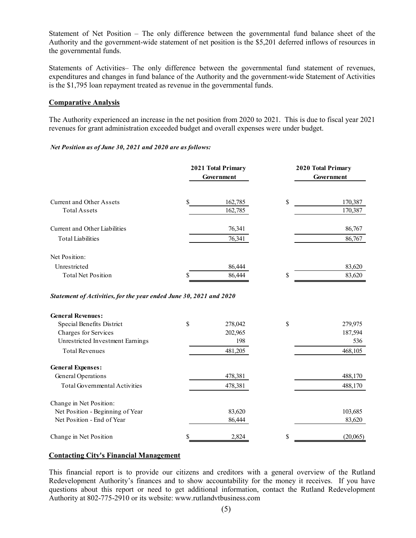Statement of Net Position – The only difference between the governmental fund balance sheet of the Authority and the government-wide statement of net position is the \$5,201 deferred inflows of resources in the governmental funds.

Statements of Activities– The only difference between the governmental fund statement of revenues, expenditures and changes in fund balance of the Authority and the government-wide Statement of Activities is the \$1,795 loan repayment treated as revenue in the governmental funds.

#### **Comparative Analysis**

The Authority experienced an increase in the net position from 2020 to 2021. This is due to fiscal year 2021 revenues for grant administration exceeded budget and overall expenses were under budget.

#### *Net Position as of June 30, 2021 and 2020 are as follows:*

|                                                                    | 2021 Total Primary<br>Government | 2020 Total Primary<br>Government |
|--------------------------------------------------------------------|----------------------------------|----------------------------------|
| <b>Current and Other Assets</b>                                    | \$<br>162,785                    | \$<br>170,387                    |
| <b>Total Assets</b>                                                | 162,785                          | 170,387                          |
| Current and Other Liabilities                                      | 76,341                           | 86,767                           |
| <b>Total Liabilities</b>                                           | 76,341                           | 86,767                           |
| Net Position:                                                      |                                  |                                  |
| Unrestricted                                                       | 86,444                           | 83,620                           |
| <b>Total Net Position</b>                                          | \$<br>86,444                     | \$<br>83,620                     |
| Statement of Activities, for the year ended June 30, 2021 and 2020 |                                  |                                  |
| <b>General Revenues:</b>                                           |                                  |                                  |
| <b>Special Benefits District</b>                                   | \$<br>278,042                    | \$<br>279,975                    |
| Charges for Services                                               | 202,965                          | 187,594                          |
| Unrestricted Investment Earnings                                   | 198                              | 536                              |
| <b>Total Revenues</b>                                              | 481,205                          | 468,105                          |
| <b>General Expenses:</b>                                           |                                  |                                  |
| General Operations                                                 | 478,381                          | 488,170                          |
| <b>Total Governmental Activities</b>                               | 478,381                          | 488,170                          |
| Change in Net Position:                                            |                                  |                                  |
| Net Position - Beginning of Year                                   | 83,620                           | 103,685                          |
| Net Position - End of Year                                         | 86,444                           | 83,620                           |
| Change in Net Position                                             | \$<br>2,824                      | \$<br>(20,065)                   |

#### **Contacting City's Financial Management**

This financial report is to provide our citizens and creditors with a general overview of the Rutland Redevelopment Authority's finances and to show accountability for the money it receives. If you have questions about this report or need to get additional information, contact the Rutland Redevelopment Authority at 802-775-2910 or its website: www.rutlandvtbusiness.com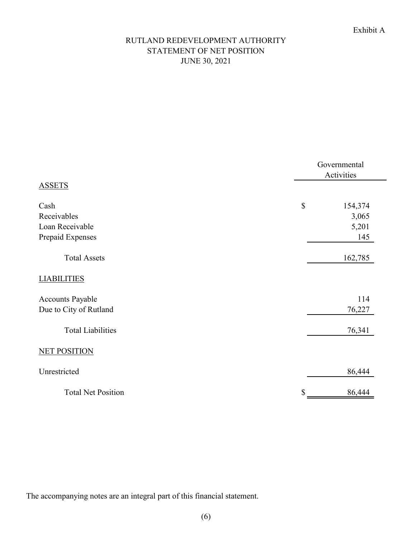# RUTLAND REDEVELOPMENT AUTHORITY STATEMENT OF NET POSITION JUNE 30, 2021

|                           | Governmental<br>Activities |
|---------------------------|----------------------------|
| <b>ASSETS</b>             |                            |
| Cash                      | \$<br>154,374              |
| Receivables               | 3,065                      |
| Loan Receivable           | 5,201                      |
| Prepaid Expenses          | 145                        |
| <b>Total Assets</b>       | 162,785                    |
| <b>LIABILITIES</b>        |                            |
| Accounts Payable          | 114                        |
| Due to City of Rutland    | 76,227                     |
| <b>Total Liabilities</b>  | 76,341                     |
| <b>NET POSITION</b>       |                            |
| Unrestricted              | 86,444                     |
| <b>Total Net Position</b> | \$<br>86,444               |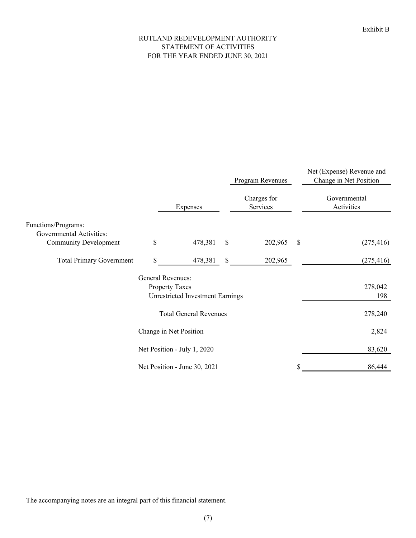#### RUTLAND REDEVELOPMENT AUTHORITY STATEMENT OF ACTIVITIES FOR THE YEAR ENDED JUNE 30, 2021

|                                                        |                                            |                                  |              | Program Revenues        |               | Net (Expense) Revenue and<br>Change in Net Position |
|--------------------------------------------------------|--------------------------------------------|----------------------------------|--------------|-------------------------|---------------|-----------------------------------------------------|
|                                                        |                                            | Expenses                         |              | Charges for<br>Services |               | Governmental<br>Activities                          |
| Functions/Programs:<br><b>Governmental Activities:</b> |                                            |                                  |              |                         |               |                                                     |
| <b>Community Development</b>                           | \$                                         | 478,381                          | $\mathbb{S}$ | 202,965                 | <sup>\$</sup> | (275, 416)                                          |
| <b>Total Primary Government</b>                        | \$                                         | 478,381                          | \$           | 202,965                 |               | (275, 416)                                          |
|                                                        | <b>General Revenues:</b><br>Property Taxes | Unrestricted Investment Earnings |              |                         |               | 278,042<br>198                                      |
|                                                        |                                            | <b>Total General Revenues</b>    |              |                         |               | 278,240                                             |
|                                                        | Change in Net Position                     |                                  |              |                         |               | 2,824                                               |
|                                                        |                                            | Net Position - July 1, 2020      |              |                         |               | 83,620                                              |
|                                                        |                                            | Net Position - June 30, 2021     |              |                         | \$            | 86,444                                              |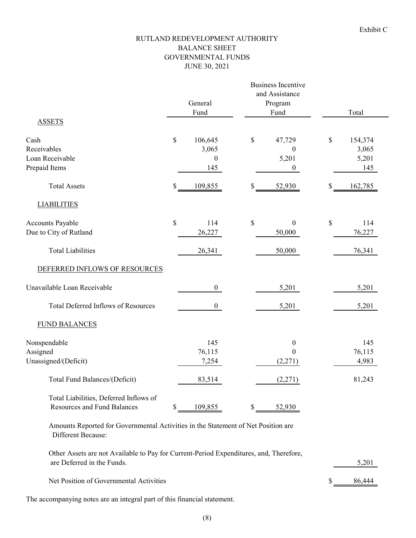## RUTLAND REDEVELOPMENT AUTHORITY BALANCE SHEET GOVERNMENTAL FUNDS JUNE 30, 2021

| <b>ASSETS</b>                                                                |             | General<br>Fund         | <b>Business Incentive</b><br>and Assistance<br>Program<br>Fund | Total                  |
|------------------------------------------------------------------------------|-------------|-------------------------|----------------------------------------------------------------|------------------------|
| Cash<br>Receivables                                                          | $\mathbb S$ | 106,645<br>3,065        | \$<br>47,729<br>$\boldsymbol{0}$                               | \$<br>154,374<br>3,065 |
| Loan Receivable<br>Prepaid Items                                             |             | $\boldsymbol{0}$<br>145 | 5,201<br>$\boldsymbol{0}$                                      | 5,201<br>145           |
| <b>Total Assets</b>                                                          | \$          | 109,855                 | \$<br>52,930                                                   | \$<br>162,785          |
| <b>LIABILITIES</b>                                                           |             |                         |                                                                |                        |
| <b>Accounts Payable</b><br>Due to City of Rutland                            | $\mathbb S$ | 114<br>26,227           | \$<br>$\mathbf{0}$<br>50,000                                   | \$<br>114<br>76,227    |
| <b>Total Liabilities</b>                                                     |             | 26,341                  | 50,000                                                         | 76,341                 |
| DEFERRED INFLOWS OF RESOURCES                                                |             |                         |                                                                |                        |
| Unavailable Loan Receivable                                                  |             | $\overline{0}$          | 5,201                                                          | 5,201                  |
| <b>Total Deferred Inflows of Resources</b>                                   |             | $\overline{0}$          | 5,201                                                          | 5,201                  |
| <b>FUND BALANCES</b>                                                         |             |                         |                                                                |                        |
| Nonspendable<br>Assigned<br>Unassigned/(Deficit)                             |             | 145<br>76,115<br>7,254  | $\boldsymbol{0}$<br>$\theta$<br>(2,271)                        | 145<br>76,115<br>4,983 |
| Total Fund Balances/(Deficit)                                                |             | 83,514                  | (2,271)                                                        | 81,243                 |
| Total Liabilities, Deferred Inflows of<br><b>Resources and Fund Balances</b> | \$          | 109,855                 | \$<br>52,930                                                   |                        |

Amounts Reported for Governmental Activities in the Statement of Net Position are Different Because:

Other Assets are not Available to Pay for Current-Period Expenditures, and, Therefore, are Deferred in the Funds. 5,201

Net Position of Governmental Activities  $\frac{$8,6,444}{2}$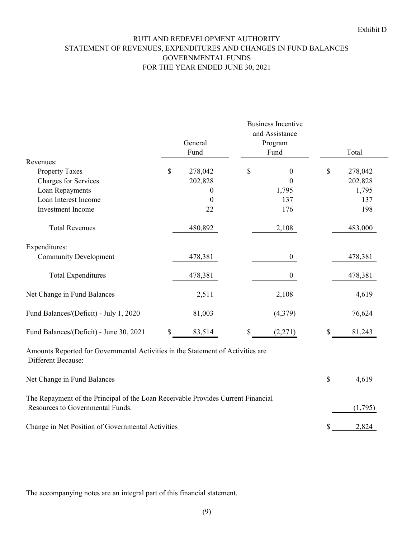# RUTLAND REDEVELOPMENT AUTHORITY FOR THE YEAR ENDED JUNE 30, 2021 GOVERNMENTAL FUNDS STATEMENT OF REVENUES, EXPENDITURES AND CHANGES IN FUND BALANCES

|                                                                                                                      |                  | <b>Business Incentive</b><br>and Assistance |               |
|----------------------------------------------------------------------------------------------------------------------|------------------|---------------------------------------------|---------------|
|                                                                                                                      | General          | Program                                     |               |
|                                                                                                                      | Fund             | Fund                                        | Total         |
| Revenues:                                                                                                            |                  |                                             |               |
| <b>Property Taxes</b>                                                                                                | \$<br>278,042    | \$<br>$\boldsymbol{0}$                      | \$<br>278,042 |
| <b>Charges for Services</b>                                                                                          | 202,828          | $\theta$                                    | 202,828       |
| Loan Repayments                                                                                                      | $\boldsymbol{0}$ | 1,795                                       | 1,795         |
| Loan Interest Income                                                                                                 | $\boldsymbol{0}$ | 137                                         | 137           |
| Investment Income                                                                                                    | 22               | 176                                         | 198           |
| <b>Total Revenues</b>                                                                                                | 480,892          | 2,108                                       | 483,000       |
| Expenditures:                                                                                                        |                  |                                             |               |
| <b>Community Development</b>                                                                                         | 478,381          | $\overline{0}$                              | 478,381       |
| <b>Total Expenditures</b>                                                                                            | 478,381          | $\boldsymbol{0}$                            | 478,381       |
| Net Change in Fund Balances                                                                                          | 2,511            | 2,108                                       | 4,619         |
| Fund Balances/(Deficit) - July 1, 2020                                                                               | 81,003           | (4,379)                                     | 76,624        |
| Fund Balances/(Deficit) - June 30, 2021                                                                              | \$<br>83,514     | \$<br>(2,271)                               | \$<br>81,243  |
| Amounts Reported for Governmental Activities in the Statement of Activities are<br>Different Because:                |                  |                                             |               |
| Net Change in Fund Balances                                                                                          |                  |                                             | \$<br>4,619   |
| The Repayment of the Principal of the Loan Receivable Provides Current Financial<br>Resources to Governmental Funds. |                  |                                             | (1,795)       |
| Change in Net Position of Governmental Activities                                                                    |                  |                                             | \$<br>2,824   |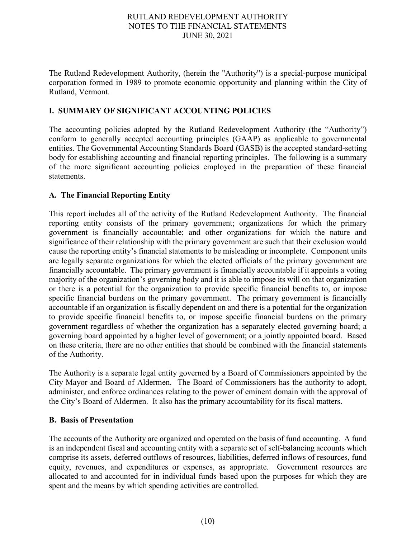The Rutland Redevelopment Authority, (herein the "Authority") is a special-purpose municipal corporation formed in 1989 to promote economic opportunity and planning within the City of Rutland, Vermont.

# **I. SUMMARY OF SIGNIFICANT ACCOUNTING POLICIES**

The accounting policies adopted by the Rutland Redevelopment Authority (the "Authority") conform to generally accepted accounting principles (GAAP) as applicable to governmental entities. The Governmental Accounting Standards Board (GASB) is the accepted standard-setting body for establishing accounting and financial reporting principles. The following is a summary of the more significant accounting policies employed in the preparation of these financial statements.

# **A. The Financial Reporting Entity**

This report includes all of the activity of the Rutland Redevelopment Authority. The financial reporting entity consists of the primary government; organizations for which the primary government is financially accountable; and other organizations for which the nature and significance of their relationship with the primary government are such that their exclusion would cause the reporting entity's financial statements to be misleading or incomplete. Component units are legally separate organizations for which the elected officials of the primary government are financially accountable. The primary government is financially accountable if it appoints a voting majority of the organization's governing body and it is able to impose its will on that organization or there is a potential for the organization to provide specific financial benefits to, or impose specific financial burdens on the primary government. The primary government is financially accountable if an organization is fiscally dependent on and there is a potential for the organization to provide specific financial benefits to, or impose specific financial burdens on the primary government regardless of whether the organization has a separately elected governing board; a governing board appointed by a higher level of government; or a jointly appointed board. Based on these criteria, there are no other entities that should be combined with the financial statements of the Authority.

The Authority is a separate legal entity governed by a Board of Commissioners appointed by the City Mayor and Board of Aldermen. The Board of Commissioners has the authority to adopt, administer, and enforce ordinances relating to the power of eminent domain with the approval of the City's Board of Aldermen. It also has the primary accountability for its fiscal matters.

# **B. Basis of Presentation**

The accounts of the Authority are organized and operated on the basis of fund accounting. A fund is an independent fiscal and accounting entity with a separate set of self-balancing accounts which comprise its assets, deferred outflows of resources, liabilities, deferred inflows of resources, fund equity, revenues, and expenditures or expenses, as appropriate. Government resources are allocated to and accounted for in individual funds based upon the purposes for which they are spent and the means by which spending activities are controlled.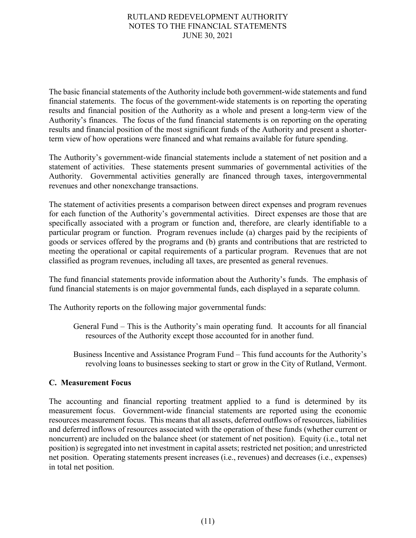The basic financial statements of the Authority include both government-wide statements and fund financial statements. The focus of the government-wide statements is on reporting the operating results and financial position of the Authority as a whole and present a long-term view of the Authority's finances. The focus of the fund financial statements is on reporting on the operating results and financial position of the most significant funds of the Authority and present a shorterterm view of how operations were financed and what remains available for future spending.

The Authority's government-wide financial statements include a statement of net position and a statement of activities. These statements present summaries of governmental activities of the Authority. Governmental activities generally are financed through taxes, intergovernmental revenues and other nonexchange transactions.

The statement of activities presents a comparison between direct expenses and program revenues for each function of the Authority's governmental activities. Direct expenses are those that are specifically associated with a program or function and, therefore, are clearly identifiable to a particular program or function. Program revenues include (a) charges paid by the recipients of goods or services offered by the programs and (b) grants and contributions that are restricted to meeting the operational or capital requirements of a particular program. Revenues that are not classified as program revenues, including all taxes, are presented as general revenues.

The fund financial statements provide information about the Authority's funds. The emphasis of fund financial statements is on major governmental funds, each displayed in a separate column.

The Authority reports on the following major governmental funds:

- General Fund This is the Authority's main operating fund. It accounts for all financial resources of the Authority except those accounted for in another fund.
- Business Incentive and Assistance Program Fund This fund accounts for the Authority's revolving loans to businesses seeking to start or grow in the City of Rutland, Vermont.

# **C. Measurement Focus**

The accounting and financial reporting treatment applied to a fund is determined by its measurement focus. Government-wide financial statements are reported using the economic resources measurement focus. This means that all assets, deferred outflows of resources, liabilities and deferred inflows of resources associated with the operation of these funds (whether current or noncurrent) are included on the balance sheet (or statement of net position). Equity (i.e., total net position) is segregated into net investment in capital assets; restricted net position; and unrestricted net position. Operating statements present increases (i.e., revenues) and decreases (i.e., expenses) in total net position.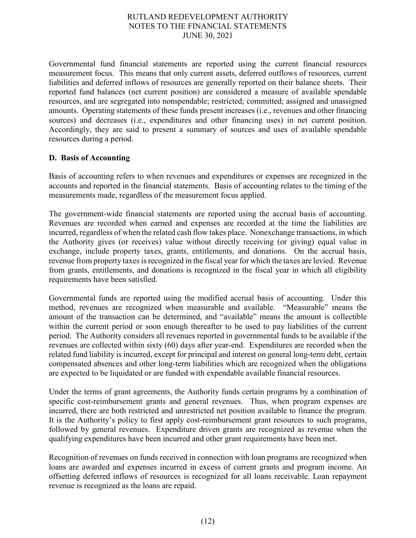Governmental fund financial statements are reported using the current financial resources measurement focus. This means that only current assets, deferred outflows of resources, current liabilities and deferred inflows of resources are generally reported on their balance sheets. Their reported fund balances (net current position) are considered a measure of available spendable resources, and are segregated into nonspendable; restricted; committed; assigned and unassigned amounts. Operating statements of these funds present increases (i.e., revenues and other financing sources) and decreases (i.e., expenditures and other financing uses) in net current position. Accordingly, they are said to present a summary of sources and uses of available spendable resources during a period.

## **D. Basis of Accounting**

Basis of accounting refers to when revenues and expenditures or expenses are recognized in the accounts and reported in the financial statements. Basis of accounting relates to the timing of the measurements made, regardless of the measurement focus applied.

The government-wide financial statements are reported using the accrual basis of accounting. Revenues are recorded when earned and expenses are recorded at the time the liabilities are incurred, regardless of when the related cash flow takes place. Nonexchange transactions, in which the Authority gives (or receives) value without directly receiving (or giving) equal value in exchange, include property taxes, grants, entitlements, and donations. On the accrual basis, revenue from property taxes is recognized in the fiscal year for which the taxes are levied. Revenue from grants, entitlements, and donations is recognized in the fiscal year in which all eligibility requirements have been satisfied.

Governmental funds are reported using the modified accrual basis of accounting. Under this method, revenues are recognized when measurable and available. "Measurable" means the amount of the transaction can be determined, and "available" means the amount is collectible within the current period or soon enough thereafter to be used to pay liabilities of the current period. The Authority considers all revenues reported in governmental funds to be available if the revenues are collected within sixty (60) days after year-end. Expenditures are recorded when the related fund liability is incurred, except for principal and interest on general long-term debt, certain compensated absences and other long-term liabilities which are recognized when the obligations are expected to be liquidated or are funded with expendable available financial resources.

Under the terms of grant agreements, the Authority funds certain programs by a combination of specific cost-reimbursement grants and general revenues. Thus, when program expenses are incurred, there are both restricted and unrestricted net position available to finance the program. It is the Authority's policy to first apply cost-reimbursement grant resources to such programs, followed by general revenues. Expenditure driven grants are recognized as revenue when the qualifying expenditures have been incurred and other grant requirements have been met.

Recognition of revenues on funds received in connection with loan programs are recognized when loans are awarded and expenses incurred in excess of current grants and program income. An offsetting deferred inflows of resources is recognized for all loans receivable. Loan repayment revenue is recognized as the loans are repaid.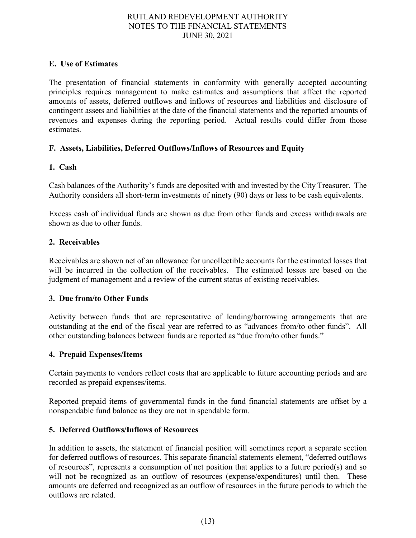## **E. Use of Estimates**

The presentation of financial statements in conformity with generally accepted accounting principles requires management to make estimates and assumptions that affect the reported amounts of assets, deferred outflows and inflows of resources and liabilities and disclosure of contingent assets and liabilities at the date of the financial statements and the reported amounts of revenues and expenses during the reporting period. Actual results could differ from those estimates.

# **F. Assets, Liabilities, Deferred Outflows/Inflows of Resources and Equity**

## **1. Cash**

Cash balances of the Authority's funds are deposited with and invested by the City Treasurer. The Authority considers all short-term investments of ninety (90) days or less to be cash equivalents.

Excess cash of individual funds are shown as due from other funds and excess withdrawals are shown as due to other funds.

## **2. Receivables**

Receivables are shown net of an allowance for uncollectible accounts for the estimated losses that will be incurred in the collection of the receivables. The estimated losses are based on the judgment of management and a review of the current status of existing receivables.

## **3. Due from/to Other Funds**

Activity between funds that are representative of lending/borrowing arrangements that are outstanding at the end of the fiscal year are referred to as "advances from/to other funds". All other outstanding balances between funds are reported as "due from/to other funds."

## **4. Prepaid Expenses/Items**

Certain payments to vendors reflect costs that are applicable to future accounting periods and are recorded as prepaid expenses/items.

Reported prepaid items of governmental funds in the fund financial statements are offset by a nonspendable fund balance as they are not in spendable form.

## **5. Deferred Outflows/Inflows of Resources**

In addition to assets, the statement of financial position will sometimes report a separate section for deferred outflows of resources. This separate financial statements element, "deferred outflows of resources", represents a consumption of net position that applies to a future period(s) and so will not be recognized as an outflow of resources (expense/expenditures) until then. These amounts are deferred and recognized as an outflow of resources in the future periods to which the outflows are related.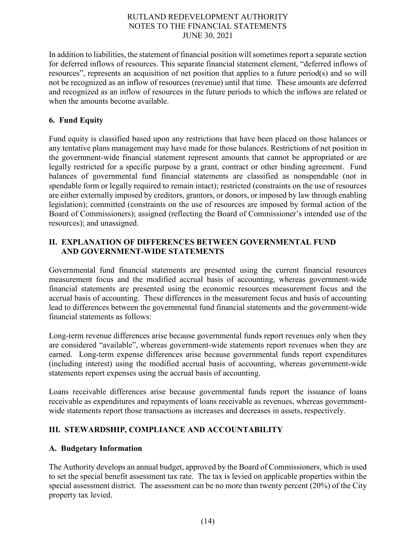In addition to liabilities, the statement of financial position will sometimes report a separate section for deferred inflows of resources. This separate financial statement element, "deferred inflows of resources", represents an acquisition of net position that applies to a future period(s) and so will not be recognized as an inflow of resources (revenue) until that time. These amounts are deferred and recognized as an inflow of resources in the future periods to which the inflows are related or when the amounts become available.

# **6. Fund Equity**

Fund equity is classified based upon any restrictions that have been placed on those balances or any tentative plans management may have made for those balances. Restrictions of net position in the government-wide financial statement represent amounts that cannot be appropriated or are legally restricted for a specific purpose by a grant, contract or other binding agreement. Fund balances of governmental fund financial statements are classified as nonspendable (not in spendable form or legally required to remain intact); restricted (constraints on the use of resources are either externally imposed by creditors, grantors, or donors, or imposed by law through enabling legislation); committed (constraints on the use of resources are imposed by formal action of the Board of Commissioners); assigned (reflecting the Board of Commissioner's intended use of the resources); and unassigned.

# **II. EXPLANATION OF DIFFERENCES BETWEEN GOVERNMENTAL FUND AND GOVERNMENT-WIDE STATEMENTS**

Governmental fund financial statements are presented using the current financial resources measurement focus and the modified accrual basis of accounting, whereas government-wide financial statements are presented using the economic resources measurement focus and the accrual basis of accounting. These differences in the measurement focus and basis of accounting lead to differences between the governmental fund financial statements and the government-wide financial statements as follows:

Long-term revenue differences arise because governmental funds report revenues only when they are considered "available", whereas government-wide statements report revenues when they are earned. Long-term expense differences arise because governmental funds report expenditures (including interest) using the modified accrual basis of accounting, whereas government-wide statements report expenses using the accrual basis of accounting.

Loans receivable differences arise because governmental funds report the issuance of loans receivable as expenditures and repayments of loans receivable as revenues, whereas governmentwide statements report those transactions as increases and decreases in assets, respectively.

# **III. STEWARDSHIP, COMPLIANCE AND ACCOUNTABILITY**

# **A. Budgetary Information**

The Authority develops an annual budget, approved by the Board of Commissioners, which is used to set the special benefit assessment tax rate. The tax is levied on applicable properties within the special assessment district. The assessment can be no more than twenty percent (20%) of the City property tax levied.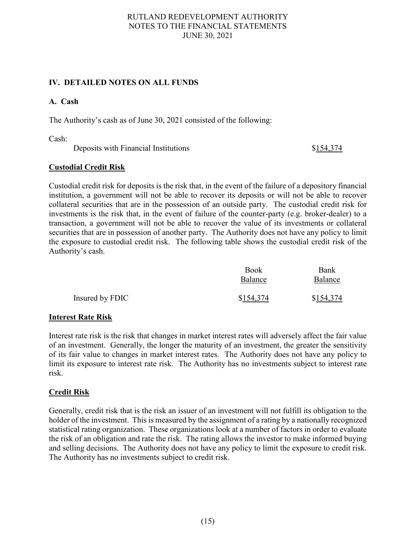## **IV. DETAILED NOTES ON ALL FUNDS**

## **A. Cash**

The Authority's cash as of June 30, 2021 consisted of the following:

Cash:

Deposits with Financial Institutions  $$154,374$ 

## **Custodial Credit Risk**

Custodial credit risk for deposits is the risk that, in the event of the failure of a depository financial institution, a government will not be able to recover its deposits or will not be able to recover collateral securities that are in the possession of an outside party. The custodial credit risk for investments is the risk that, in the event of failure of the counter-party (e.g. broker-dealer) to a transaction, a government will not be able to recover the value of its investments or collateral securities that are in possession of another party. The Authority does not have any policy to limit the exposure to custodial credit risk. The following table shows the custodial credit risk of the Authority's cash.

|                 | <b>Book</b> | <b>Bank</b> |
|-----------------|-------------|-------------|
|                 | Balance     | Balance     |
| Insured by FDIC | \$154,374   | \$154,374   |

## **Interest Rate Risk**

Interest rate risk is the risk that changes in market interest rates will adversely affect the fair value of an investment. Generally, the longer the maturity of an investment, the greater the sensitivity of its fair value to changes in market interest rates. The Authority does not have any policy to limit its exposure to interest rate risk. The Authority has no investments subject to interest rate risk.

## **Credit Risk**

Generally, credit risk that is the risk an issuer of an investment will not fulfill its obligation to the holder of the investment. This is measured by the assignment of a rating by a nationally recognized statistical rating organization. These organizations look at a number of factors in order to evaluate the risk of an obligation and rate the risk. The rating allows the investor to make informed buying and selling decisions. The Authority does not have any policy to limit the exposure to credit risk. The Authority has no investments subject to credit risk.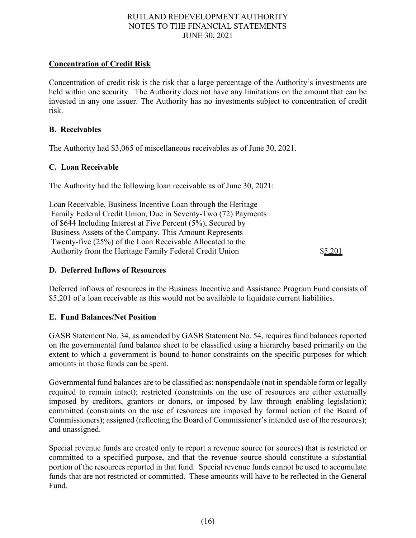# **Concentration of Credit Risk**

Concentration of credit risk is the risk that a large percentage of the Authority's investments are held within one security. The Authority does not have any limitations on the amount that can be invested in any one issuer. The Authority has no investments subject to concentration of credit risk.

# **B. Receivables**

The Authority had \$3,065 of miscellaneous receivables as of June 30, 2021.

# **C. Loan Receivable**

The Authority had the following loan receivable as of June 30, 2021:

Loan Receivable, Business Incentive Loan through the Heritage Family Federal Credit Union, Due in Seventy-Two (72) Payments of \$644 Including Interest at Five Percent (5%), Secured by Business Assets of the Company. This Amount Represents Twenty-five (25%) of the Loan Receivable Allocated to the Authority from the Heritage Family Federal Credit Union \$5,201

## **D. Deferred Inflows of Resources**

Deferred inflows of resources in the Business Incentive and Assistance Program Fund consists of \$5,201 of a loan receivable as this would not be available to liquidate current liabilities.

# **E. Fund Balances/Net Position**

GASB Statement No. 34, as amended by GASB Statement No. 54, requires fund balances reported on the governmental fund balance sheet to be classified using a hierarchy based primarily on the extent to which a government is bound to honor constraints on the specific purposes for which amounts in those funds can be spent.

Governmental fund balances are to be classified as: nonspendable (not in spendable form or legally required to remain intact); restricted (constraints on the use of resources are either externally imposed by creditors, grantors or donors, or imposed by law through enabling legislation); committed (constraints on the use of resources are imposed by formal action of the Board of Commissioners); assigned (reflecting the Board of Commissioner's intended use of the resources); and unassigned.

Special revenue funds are created only to report a revenue source (or sources) that is restricted or committed to a specified purpose, and that the revenue source should constitute a substantial portion of the resources reported in that fund. Special revenue funds cannot be used to accumulate funds that are not restricted or committed. These amounts will have to be reflected in the General Fund.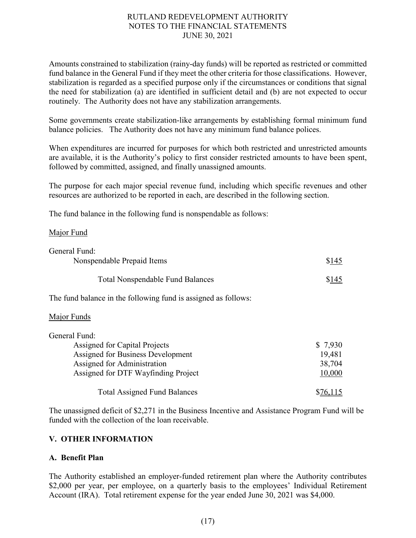Amounts constrained to stabilization (rainy-day funds) will be reported as restricted or committed fund balance in the General Fund if they meet the other criteria for those classifications. However, stabilization is regarded as a specified purpose only if the circumstances or conditions that signal the need for stabilization (a) are identified in sufficient detail and (b) are not expected to occur routinely. The Authority does not have any stabilization arrangements.

Some governments create stabilization-like arrangements by establishing formal minimum fund balance policies. The Authority does not have any minimum fund balance polices.

When expenditures are incurred for purposes for which both restricted and unrestricted amounts are available, it is the Authority's policy to first consider restricted amounts to have been spent, followed by committed, assigned, and finally unassigned amounts.

The purpose for each major special revenue fund, including which specific revenues and other resources are authorized to be reported in each, are described in the following section.

The fund balance in the following fund is nonspendable as follows:

## Major Fund

| General Fund:                                                  |          |
|----------------------------------------------------------------|----------|
| Nonspendable Prepaid Items                                     | \$145    |
| <b>Total Nonspendable Fund Balances</b>                        | \$145    |
| The fund balance in the following fund is assigned as follows: |          |
| Major Funds                                                    |          |
| General Fund:                                                  |          |
| Assigned for Capital Projects                                  | \$7,930  |
| Assigned for Business Development                              | 19,481   |
| Assigned for Administration                                    | 38,704   |
| Assigned for DTF Wayfinding Project                            | 10,000   |
| <b>Total Assigned Fund Balances</b>                            | \$76,115 |

The unassigned deficit of \$2,271 in the Business Incentive and Assistance Program Fund will be funded with the collection of the loan receivable.

# **V. OTHER INFORMATION**

# **A. Benefit Plan**

The Authority established an employer-funded retirement plan where the Authority contributes \$2,000 per year, per employee, on a quarterly basis to the employees' Individual Retirement Account (IRA). Total retirement expense for the year ended June 30, 2021 was \$4,000.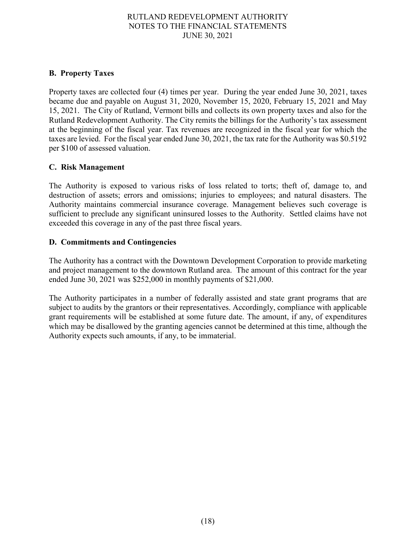# **B. Property Taxes**

Property taxes are collected four (4) times per year. During the year ended June 30, 2021, taxes became due and payable on August 31, 2020, November 15, 2020, February 15, 2021 and May 15, 2021. The City of Rutland, Vermont bills and collects its own property taxes and also for the Rutland Redevelopment Authority. The City remits the billings for the Authority's tax assessment at the beginning of the fiscal year. Tax revenues are recognized in the fiscal year for which the taxes are levied. For the fiscal year ended June 30, 2021, the tax rate for the Authority was \$0.5192 per \$100 of assessed valuation.

# **C. Risk Management**

The Authority is exposed to various risks of loss related to torts; theft of, damage to, and destruction of assets; errors and omissions; injuries to employees; and natural disasters. The Authority maintains commercial insurance coverage. Management believes such coverage is sufficient to preclude any significant uninsured losses to the Authority. Settled claims have not exceeded this coverage in any of the past three fiscal years.

## **D. Commitments and Contingencies**

The Authority has a contract with the Downtown Development Corporation to provide marketing and project management to the downtown Rutland area. The amount of this contract for the year ended June 30, 2021 was \$252,000 in monthly payments of \$21,000.

The Authority participates in a number of federally assisted and state grant programs that are subject to audits by the grantors or their representatives. Accordingly, compliance with applicable grant requirements will be established at some future date. The amount, if any, of expenditures which may be disallowed by the granting agencies cannot be determined at this time, although the Authority expects such amounts, if any, to be immaterial.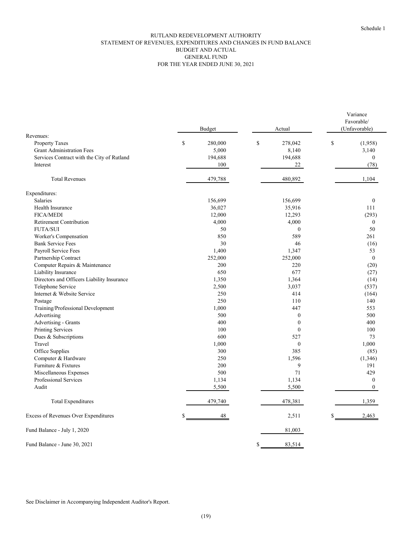#### RUTLAND REDEVELOPMENT AUTHORITY FOR THE YEAR ENDED JUNE 30, 2021 GENERAL FUND BUDGET AND ACTUAL STATEMENT OF REVENUES, EXPENDITURES AND CHANGES IN FUND BALANCE

|                                            | Budget        | Actual         | Variance<br>Favorable/<br>(Unfavorable) |
|--------------------------------------------|---------------|----------------|-----------------------------------------|
| Revenues:                                  |               |                |                                         |
| Property Taxes                             | \$<br>280,000 | \$<br>278,042  | \$<br>(1,958)                           |
| <b>Grant Administration Fees</b>           | 5,000         | 8,140          | 3,140                                   |
| Services Contract with the City of Rutland | 194,688       | 194,688        | $\mathbf{0}$                            |
| Interest                                   | 100           | 22             | (78)                                    |
| <b>Total Revenues</b>                      | 479,788       | 480,892        | 1,104                                   |
| Expenditures:                              |               |                |                                         |
| Salaries                                   | 156,699       | 156,699        | $\boldsymbol{0}$                        |
| Health Insurance                           | 36,027        | 35,916         | 111                                     |
| <b>FICA/MEDI</b>                           | 12,000        | 12,293         | (293)                                   |
| <b>Retirement Contribution</b>             | 4,000         | 4,000          | $\boldsymbol{0}$                        |
| <b>FUTA/SUI</b>                            | 50            | $\mathbf{0}$   | 50                                      |
| Worker's Compensation                      | 850           | 589            | 261                                     |
| <b>Bank Service Fees</b>                   | 30            | 46             | (16)                                    |
| Payroll Service Fees                       | 1,400         | 1,347          | 53                                      |
| Partnership Contract                       | 252,000       | 252,000        | $\overline{0}$                          |
| Computer Repairs & Maintenance             | 200           | 220            | (20)                                    |
| Liability Insurance                        | 650           | 677            | (27)                                    |
| Directors and Officers Liability Insurance | 1,350         | 1,364          | (14)                                    |
| Telephone Service                          | 2,500         | 3,037          | (537)                                   |
| Internet & Website Service                 | 250           | 414            | (164)                                   |
| Postage                                    | 250           | 110            | 140                                     |
| Training/Professional Development          | 1,000         | 447            | 553                                     |
| Advertising                                | 500           | $\overline{0}$ | 500                                     |
| Advertising - Grants                       | 400           | $\mathbf{0}$   | 400                                     |
| Printing Services                          | 100           | $\mathbf{0}$   | 100                                     |
| Dues & Subscriptions                       | 600           | 527            | 73                                      |
| Travel                                     | 1,000         | $\mathbf{0}$   | 1,000                                   |
| Office Supplies                            | 300           | 385            | (85)                                    |
| Computer & Hardware                        | 250           | 1,596          | (1,346)                                 |
| Furniture & Fixtures                       | 200           | 9              | 191                                     |
| Miscellaneous Expenses                     | 500           | 71             | 429                                     |
| Professional Services                      | 1,134         | 1,134          | $\boldsymbol{0}$                        |
| Audit                                      | 5,500         | 5,500          | $\boldsymbol{0}$                        |
| <b>Total Expenditures</b>                  | 479,740       | 478,381        | 1,359                                   |
| Excess of Revenues Over Expenditures       | 48<br>\$      | 2,511          | \$<br>2,463                             |
| Fund Balance - July 1, 2020                |               | 81,003         |                                         |
| Fund Balance - June 30, 2021               |               | \$<br>83,514   |                                         |

See Disclaimer in Accompanying Independent Auditor's Report.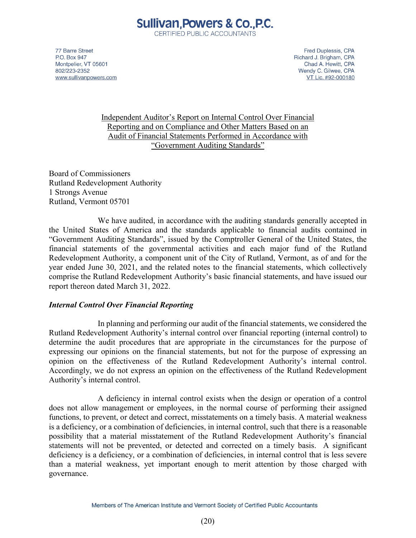CERTIFIED PUBLIC ACCOUNTANTS

**77 Barre Street** P.O. Box 947 Montpelier, VT 05601 802/223-2352 www.sullivanpowers.com

Fred Duplessis, CPA Richard J. Brigham, CPA Chad A. Hewitt, CPA Wendy C. Gilwee, CPA VT Lic. #92-000180

Independent Auditor's Report on Internal Control Over Financial Reporting and on Compliance and Other Matters Based on an Audit of Financial Statements Performed in Accordance with "Government Auditing Standards"

Board of Commissioners Rutland Redevelopment Authority 1 Strongs Avenue Rutland, Vermont 05701

We have audited, in accordance with the auditing standards generally accepted in the United States of America and the standards applicable to financial audits contained in "Government Auditing Standards", issued by the Comptroller General of the United States, the financial statements of the governmental activities and each major fund of the Rutland Redevelopment Authority, a component unit of the City of Rutland, Vermont, as of and for the year ended June 30, 2021, and the related notes to the financial statements, which collectively comprise the Rutland Redevelopment Authority's basic financial statements, and have issued our report thereon dated March 31, 2022.

## *Internal Control Over Financial Reporting*

In planning and performing our audit of the financial statements, we considered the Rutland Redevelopment Authority's internal control over financial reporting (internal control) to determine the audit procedures that are appropriate in the circumstances for the purpose of expressing our opinions on the financial statements, but not for the purpose of expressing an opinion on the effectiveness of the Rutland Redevelopment Authority's internal control. Accordingly, we do not express an opinion on the effectiveness of the Rutland Redevelopment Authority's internal control.

A deficiency in internal control exists when the design or operation of a control does not allow management or employees, in the normal course of performing their assigned functions, to prevent, or detect and correct, misstatements on a timely basis. A material weakness is a deficiency, or a combination of deficiencies, in internal control, such that there is a reasonable possibility that a material misstatement of the Rutland Redevelopment Authority's financial statements will not be prevented, or detected and corrected on a timely basis. A significant deficiency is a deficiency, or a combination of deficiencies, in internal control that is less severe than a material weakness, yet important enough to merit attention by those charged with governance.